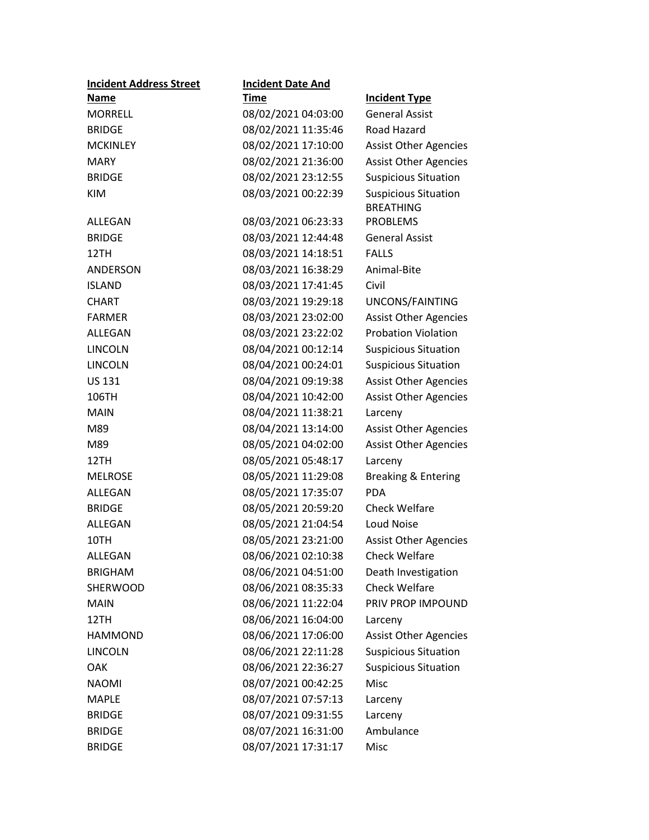| <b>Incident Address Street</b> | <b>Incident Date And</b> |                                                 |
|--------------------------------|--------------------------|-------------------------------------------------|
| <b>Name</b>                    | <b>Time</b>              | <b>Incident Type</b>                            |
| <b>MORRELL</b>                 | 08/02/2021 04:03:00      | <b>General Assist</b>                           |
| <b>BRIDGE</b>                  | 08/02/2021 11:35:46      | Road Hazard                                     |
| <b>MCKINLEY</b>                | 08/02/2021 17:10:00      | <b>Assist Other Agencies</b>                    |
| <b>MARY</b>                    | 08/02/2021 21:36:00      | <b>Assist Other Agencies</b>                    |
| <b>BRIDGE</b>                  | 08/02/2021 23:12:55      | <b>Suspicious Situation</b>                     |
| <b>KIM</b>                     | 08/03/2021 00:22:39      | <b>Suspicious Situation</b><br><b>BREATHING</b> |
| ALLEGAN                        | 08/03/2021 06:23:33      | <b>PROBLEMS</b>                                 |
| <b>BRIDGE</b>                  | 08/03/2021 12:44:48      | <b>General Assist</b>                           |
| 12TH                           | 08/03/2021 14:18:51      | <b>FALLS</b>                                    |
| ANDERSON                       | 08/03/2021 16:38:29      | Animal-Bite                                     |
| <b>ISLAND</b>                  | 08/03/2021 17:41:45      | Civil                                           |
| <b>CHART</b>                   | 08/03/2021 19:29:18      | UNCONS/FAINTING                                 |
| <b>FARMER</b>                  | 08/03/2021 23:02:00      | <b>Assist Other Agencies</b>                    |
| <b>ALLEGAN</b>                 | 08/03/2021 23:22:02      | <b>Probation Violation</b>                      |
| <b>LINCOLN</b>                 | 08/04/2021 00:12:14      | <b>Suspicious Situation</b>                     |
| LINCOLN                        | 08/04/2021 00:24:01      | <b>Suspicious Situation</b>                     |
| <b>US 131</b>                  | 08/04/2021 09:19:38      | <b>Assist Other Agencies</b>                    |
| 106TH                          | 08/04/2021 10:42:00      | <b>Assist Other Agencies</b>                    |
| <b>MAIN</b>                    | 08/04/2021 11:38:21      | Larceny                                         |
| M89                            | 08/04/2021 13:14:00      | <b>Assist Other Agencies</b>                    |
| M89                            | 08/05/2021 04:02:00      | <b>Assist Other Agencies</b>                    |
| 12TH                           | 08/05/2021 05:48:17      | Larceny                                         |
| <b>MELROSE</b>                 | 08/05/2021 11:29:08      | <b>Breaking &amp; Entering</b>                  |
| ALLEGAN                        | 08/05/2021 17:35:07      | <b>PDA</b>                                      |
| <b>BRIDGE</b>                  | 08/05/2021 20:59:20      | <b>Check Welfare</b>                            |
| <b>ALLEGAN</b>                 | 08/05/2021 21:04:54      | <b>Loud Noise</b>                               |
| 10TH                           | 08/05/2021 23:21:00      | <b>Assist Other Agencies</b>                    |
| <b>ALLEGAN</b>                 | 08/06/2021 02:10:38      | <b>Check Welfare</b>                            |
| <b>BRIGHAM</b>                 | 08/06/2021 04:51:00      | Death Investigation                             |
| SHERWOOD                       | 08/06/2021 08:35:33      | <b>Check Welfare</b>                            |
| <b>MAIN</b>                    | 08/06/2021 11:22:04      | PRIV PROP IMPOUND                               |
| 12TH                           | 08/06/2021 16:04:00      | Larceny                                         |
| <b>HAMMOND</b>                 | 08/06/2021 17:06:00      | <b>Assist Other Agencies</b>                    |
| <b>LINCOLN</b>                 | 08/06/2021 22:11:28      | <b>Suspicious Situation</b>                     |
| <b>OAK</b>                     | 08/06/2021 22:36:27      | <b>Suspicious Situation</b>                     |
| <b>NAOMI</b>                   | 08/07/2021 00:42:25      | Misc                                            |
| <b>MAPLE</b>                   | 08/07/2021 07:57:13      | Larceny                                         |
| <b>BRIDGE</b>                  | 08/07/2021 09:31:55      | Larceny                                         |
| <b>BRIDGE</b>                  | 08/07/2021 16:31:00      | Ambulance                                       |
| <b>BRIDGE</b>                  | 08/07/2021 17:31:17      | Misc                                            |